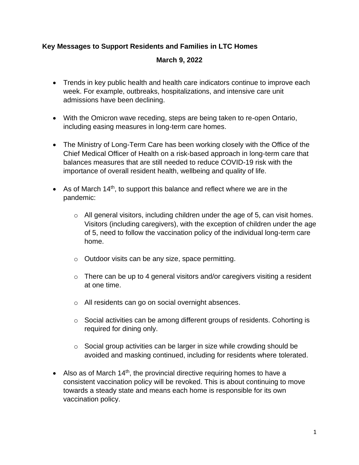# **Key Messages to Support Residents and Families in LTC Homes**

## **March 9, 2022**

- Trends in key public health and health care indicators continue to improve each week. For example, outbreaks, hospitalizations, and intensive care unit admissions have been declining.
- With the Omicron wave receding, steps are being taken to re-open Ontario, including easing measures in long-term care homes.
- The Ministry of Long-Term Care has been working closely with the Office of the Chief Medical Officer of Health on a risk-based approach in long-term care that balances measures that are still needed to reduce COVID-19 risk with the importance of overall resident health, wellbeing and quality of life.
- As of March 14<sup>th</sup>, to support this balance and reflect where we are in the pandemic:
	- $\circ$  All general visitors, including children under the age of 5, can visit homes. Visitors (including caregivers), with the exception of children under the age of 5, need to follow the vaccination policy of the individual long-term care home.
	- o Outdoor visits can be any size, space permitting.
	- $\circ$  There can be up to 4 general visitors and/or caregivers visiting a resident at one time.
	- o All residents can go on social overnight absences.
	- o Social activities can be among different groups of residents. Cohorting is required for dining only.
	- o Social group activities can be larger in size while crowding should be avoided and masking continued, including for residents where tolerated.
- Also as of March 14<sup>th</sup>, the provincial directive requiring homes to have a consistent vaccination policy will be revoked. This is about continuing to move towards a steady state and means each home is responsible for its own vaccination policy.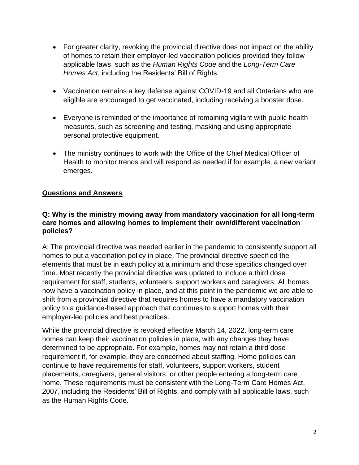- For greater clarity, revoking the provincial directive does not impact on the ability of homes to retain their employer-led vaccination policies provided they follow applicable laws, such as the *Human Rights Code* and the *Long-Term Care Homes Act*, including the Residents' Bill of Rights.
- Vaccination remains a key defense against COVID-19 and all Ontarians who are eligible are encouraged to get vaccinated, including receiving a booster dose.
- Everyone is reminded of the importance of remaining vigilant with public health measures, such as screening and testing, masking and using appropriate personal protective equipment.
- The ministry continues to work with the Office of the Chief Medical Officer of Health to monitor trends and will respond as needed if for example, a new variant emerges.

# **Questions and Answers**

#### **Q: Why is the ministry moving away from mandatory vaccination for all long-term care homes and allowing homes to implement their own/different vaccination policies?**

A: The provincial directive was needed earlier in the pandemic to consistently support all homes to put a vaccination policy in place. The provincial directive specified the elements that must be in each policy at a minimum and those specifics changed over time. Most recently the provincial directive was updated to include a third dose requirement for staff, students, volunteers, support workers and caregivers. All homes now have a vaccination policy in place, and at this point in the pandemic we are able to shift from a provincial directive that requires homes to have a mandatory vaccination policy to a guidance-based approach that continues to support homes with their employer-led policies and best practices.

While the provincial directive is revoked effective March 14, 2022, long-term care homes can keep their vaccination policies in place, with any changes they have determined to be appropriate. For example, homes may not retain a third dose requirement if, for example, they are concerned about staffing. Home policies can continue to have requirements for staff, volunteers, support workers, student placements, caregivers, general visitors, or other people entering a long-term care home. These requirements must be consistent with the Long-Term Care Homes Act, 2007, including the Residents' Bill of Rights, and comply with all applicable laws, such as the Human Rights Code.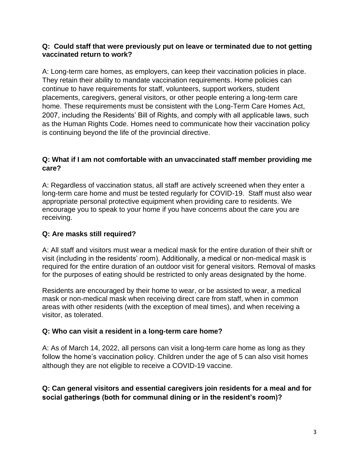#### **Q: Could staff that were previously put on leave or terminated due to not getting vaccinated return to work?**

A: Long-term care homes, as employers, can keep their vaccination policies in place. They retain their ability to mandate vaccination requirements. Home policies can continue to have requirements for staff, volunteers, support workers, student placements, caregivers, general visitors, or other people entering a long-term care home. These requirements must be consistent with the Long-Term Care Homes Act, 2007, including the Residents' Bill of Rights, and comply with all applicable laws, such as the Human Rights Code. Homes need to communicate how their vaccination policy is continuing beyond the life of the provincial directive.

## **Q: What if I am not comfortable with an unvaccinated staff member providing me care?**

A: Regardless of vaccination status, all staff are actively screened when they enter a long-term care home and must be tested regularly for COVID-19. Staff must also wear appropriate personal protective equipment when providing care to residents. We encourage you to speak to your home if you have concerns about the care you are receiving.

# **Q: Are masks still required?**

A: All staff and visitors must wear a medical mask for the entire duration of their shift or visit (including in the residents' room). Additionally, a medical or non-medical mask is required for the entire duration of an outdoor visit for general visitors. Removal of masks for the purposes of eating should be restricted to only areas designated by the home.

Residents are encouraged by their home to wear, or be assisted to wear, a medical mask or non-medical mask when receiving direct care from staff, when in common areas with other residents (with the exception of meal times), and when receiving a visitor, as tolerated.

## **Q: Who can visit a resident in a long-term care home?**

A: As of March 14, 2022, all persons can visit a long-term care home as long as they follow the home's vaccination policy. Children under the age of 5 can also visit homes although they are not eligible to receive a COVID-19 vaccine.

**Q: Can general visitors and essential caregivers join residents for a meal and for social gatherings (both for communal dining or in the resident's room)?**